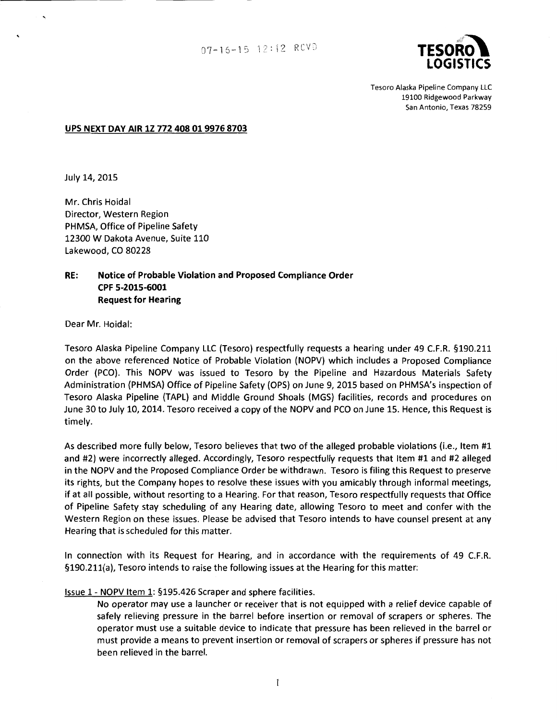

Tesoro Alaska Pipeline Company LLC 19100 Ridgewood Parkway San Antonio, Texas 78259

### **UPS NEXT DAY AIR 1Z 772 408 019976 8703**

July 14, 2015

Mr. Chris Hoidal Director, Western Region PHMSA, Office of Pipeline Safety 12300 W Dakota Avenue, Suite 110 Lakewood, CO 80228

# **RE: Notice of Probable Violation and Proposed Compliance Order CPF 5-2015-6001 Request for Hearing**

Dear Mr. Hoidal:

Tesoro Alaska Pipeline Company LLC (Tesoro) respectfully requests a hearing under 49 C.F.R. §190.211 on the above referenced Notice of Probable Violation (NOPV) which includes a Proposed Compliance Order (PCO). This NOPV was issued to Tesoro by the Pipeline and Hazardous Materials Safety Administration (PHMSA) Office of Pipeline Safety (OPS) on June 9, 2015 based on PHMSA's inspection of Tesoro Alaska Pipeline (TAPL) and Middle Ground Shoals (MGS) facilities, records and procedures on June 30 to July 10, 2014. Tesoro received a copy of the NOPV and PCO on June 15. Hence, this Request is timely.

As described more fully below, Tesoro believes that two of the alleged probable violations (i.e., Item #1 and #2) were incorrectly alleged. Accordingly, Tesoro respectfully requests that Item #1 and #2 alleged in the NOPV and the Proposed Compliance Order be withdrawn. Tesoro is filing this Request to preserve its rights, but the Company hopes to resolve these issues with you amicably through informal meetings, if at all possible, without resorting to a Hearing. For that reason, Tesoro respectfully requests that Office of Pipeline Safety stay scheduling of any Hearing date, allowing Tesoro to meet and confer with the Western Region on these issues. Please be advised that Tesoro intends to have counsel present at any Hearing that is scheduled for this matter.

In connection with its Request for Hearing, and in accordance with the requirements of 49 C.F.R. §190.211(a), Tesoro intends to raise the following issues at the Hearing for this matter:

Issue 1- NOPV Item 1: §195.426 Scraper and sphere facilities.

No operator may use a launcher or receiver that is not equipped with a relief device capable of safely relieving pressure in the barrel before insertion or removal of scrapers or spheres. The operator must use a suitable device to indicate that pressure has been relieved in the barrel or must provide a means to prevent insertion or removal of scrapers or spheres if pressure has not been relieved in the barrel.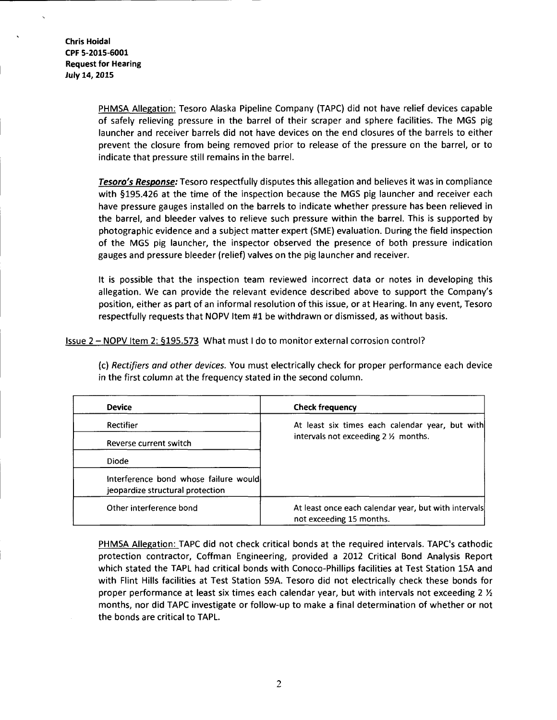> PHMSA Allegation: Tesoro Alaska Pipeline Company (TAPC) did not have relief devices capable of safely relieving pressure in the barrel of their scraper and sphere facilities. The MGS pig launcher and receiver barrels did not have devices on the end closures of the barrels to either prevent the closure from being removed prior to release of the pressure on the barrel, or to indicate that pressure still remains in the barrel.

> Tesoro's Response: Tesoro respectfully disputes this allegation and believes it was in compliance with §195.426 at the time of the inspection because the MGS pig launcher and receiver each have pressure gauges installed on the barrels to indicate whether pressure has been relieved in the barrel, and bleeder valves to relieve such pressure within the barrel. This is supported by photographic evidence and a subject matter expert (SME) evaluation. During the field inspection of the MGS pig launcher, the inspector observed the presence of both pressure indication gauges and pressure bleeder (relief) valves on the pig launcher and receiver.

> It is possible that the inspection team reviewed incorrect data or notes in developing this allegation. We can provide the relevant evidence described above to support the Company's position, either as part of an informal resolution of this issue, or at Hearing. In any event, Tesoro respectfully requests that NOPV Item #1 be withdrawn or dismissed, as without basis.

Issue 2- NOPV Item 2: §195.573 What must I do to monitor external corrosion control?

(c) *Rectifiers and other devices.* You must electrically check for proper performance each device in the first column at the frequency stated in the second column.

| <b>Device</b>                                                             | <b>Check frequency</b>                                                                            |
|---------------------------------------------------------------------------|---------------------------------------------------------------------------------------------------|
| <b>Rectifier</b>                                                          | At least six times each calendar year, but with<br>intervals not exceeding $2\frac{1}{2}$ months. |
| Reverse current switch                                                    |                                                                                                   |
| Diode                                                                     |                                                                                                   |
| interference bond whose failure would<br>jeopardize structural protection |                                                                                                   |
| Other interference bond                                                   | At least once each calendar year, but with intervals<br>not exceeding 15 months.                  |

PHMSA Allegation: TAPC did not check critical bonds at the required intervals. TAPC's cathodic protection contractor, Coffman Engineering, provided a 2012 Critical Bond Analysis Report which stated the TAPL had critical bonds with Conoco-Phillips facilities at Test Station 15A and with Flint Hills facilities at Test Station 59A. Tesoro did not electrically check these bonds for proper performance at least six times each calendar year, but with intervals not exceeding 2  $\chi$ months, nor did TAPC investigate or follow-up to make a final determination of whether or not the bonds are critical to TAPL.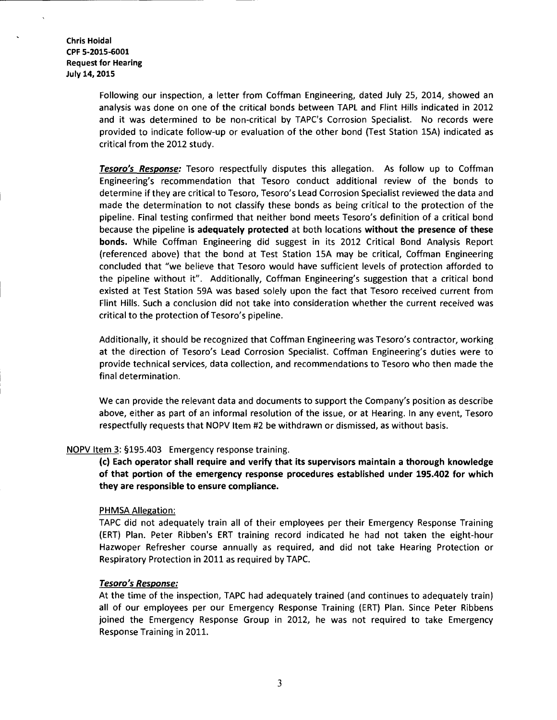Following our inspection, a letter from Coffman Engineering, dated July 25, 2014, showed an analysis was done on one of the critical bonds between TAPL and Flint Hills indicated in 2012 and it was determined to be non-critical by TAPC's Corrosion Specialist. No records were provided to indicate follow-up or evaluation of the other bond (Test Station 15A) indicated as critical from the 2012 study.

Tesoro's Response: Tesoro respectfully disputes this allegation. As follow up to Coffman Engineering's recommendation that Tesoro conduct additional review of the bonds to determine if they are critical to Tesoro, Tesoro's Lead Corrosion Specialist reviewed the data and made the determination to not classify these bonds as being critical to the protection of the pipeline. Final testing confirmed that neither bond meets Tesoro's definition of a critical bond because the pipeline is adequately protected at both locations without the presence of these bonds. While Coffman Engineering did suggest in its 2012 Critical Bond Analysis Report (referenced above) that the bond at Test Station 15A may be critical, Coffman Engineering concluded that "we believe that Tesoro would have sufficient levels of protection afforded to the pipeline without it". Additionally, Coffman Engineering's suggestion that a critical bond existed at Test Station 59A was based solely upon the fact that Tesoro received current from Flint Hills. Such a conclusion did not take into consideration whether the current received was critical to the protection of Tesoro's pipeline.

Additionally, it should be recognized that Coffman Engineering was Tesoro's contractor, working at the direction of Tesoro's Lead Corrosion Specialist. Coffman Engineering's duties were to provide technical services, data collection, and recommendations to Tesoro who then made the final determination.

We can provide the relevant data and documents to support the Company's position as describe above, either as part of an informal resolution of the issue, or at Hearing. In any event, Tesoro respectfully requests that NOPV Item #2 be withdrawn or dismissed, as without basis.

# NOPV Item 3: §195.403 Emergency response training.

(c) Each operator shall require and verify that its supervisors maintain a thorough knowledge of that portion of the emergency response procedures established under 195.402 for which they are responsible to ensure compliance.

### PHMSA Allegation:

TAPC did not adequately train all of their employees per their Emergency Response Training (ERT) Plan. Peter Ribben's ERT training record indicated he had not taken the eight-hour Hazwoper Refresher course annually as required, and did not take Hearing Protection or Respiratory Protection in 2011 as required by TAPC.

### Tesoro's Response:

At the time of the inspection, TAPC had adequately trained (and continues to adequately train) all of our employees per our Emergency Response Training (ERT) Plan. Since Peter Ribbens joined the Emergency Response Group in 2012, he was not required to take Emergency Response Training in 2011.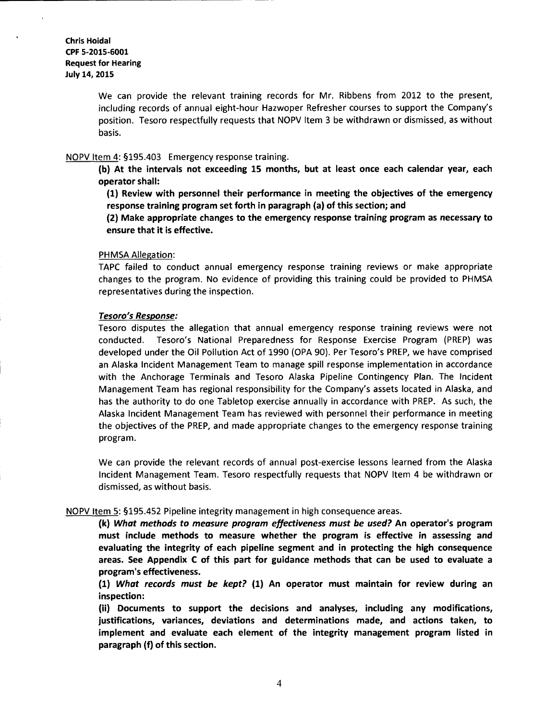We can provide the relevant training records for Mr. Ribbens from 2012 to the present, including records of annual eight-hour Hazwoper Refresher courses to support the Company's position. Tesoro respectfully requests that NOPV Item 3 be withdrawn or dismissed, as without basis.

#### NOPV Item 4: §195.403 Emergency response training.

(b) At the intervals not exceeding 15 months, but at least once each calendar year, each operator shall:

(1) Review with personnel their performance in meeting the objectives of the emergency response training program set forth in paragraph (a) of this section; and

(2) Make appropriate changes to the emergency response training program as necessary to ensure that it is effective.

#### PHMSA Allegation:

TAPC failed to conduct annual emergency response training reviews or make appropriate changes to the program. No evidence of providing this training could be provided to PHMSA representatives during the inspection.

#### *Tesoro's Response:*

Tesoro disputes the allegation that annual emergency response training reviews were not conducted. Tesoro's National Preparedness for Response Exercise Program {PREP) was developed under the Oil Pollution Act of 1990 {OPA 90). Per Tesoro's PREP, we have comprised an Alaska Incident Management Team to manage spill response implementation in accordance with the Anchorage Terminals and Tesoro Alaska Pipeline Contingency Plan. The Incident Management Team has regional responsibility for the Company's assets located in Alaska, and has the authority to do one Tabletop exercise annually in accordance with PREP. As such, the Alaska Incident Management Team has reviewed with personnel their performance in meeting the objectives of the PREP, and made appropriate changes to the emergency response training program.

We can provide the relevant records of annual post-exercise lessons learned from the Alaska Incident Management Team. Tesoro respectfully requests that NOPV Item 4 be withdrawn or dismissed, as without basis.

### NOPV Item 5: §195.452 Pipeline integrity management in high consequence areas.

(k) *What methods to measure program effectiveness must be used?* An operator's program must include methods to measure whether the program is effective in assessing and evaluating the integrity of each pipeline segment and in protecting the high consequence areas. See Appendix C of this part for guidance methods that can be used to evaluate a program's effectiveness.

(1) *What records must be kept?* (1) An operator must maintain for review during an inspection:

(ii) Documents to support the decisions and analyses, including any modifications, justifications, variances, deviations and determinations made, and actions taken, to implement and evaluate each element of the integrity management program listed in paragraph (f) of this section.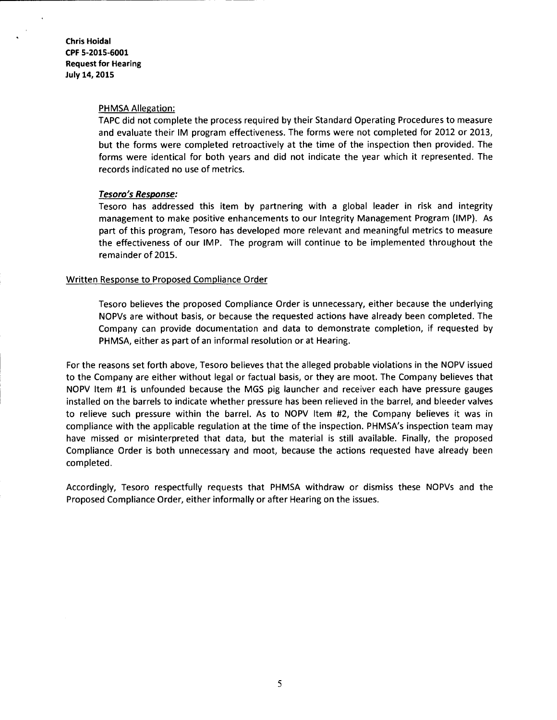### PHMSA Allegation:

TAPC did not complete the process required by their Standard Operating Procedures to measure and evaluate their IM program effectiveness. The forms were not completed for 2012 or 2013, but the forms were completed retroactively at the time of the inspection then provided. The forms were identical for both years and did not indicate the year which it represented. The records indicated no use of metrics.

# Tesoro's Response:

Tesoro has addressed this item by partnering with a global leader in risk and integrity management to make positive enhancements to our Integrity Management Program {IMP). As part of this program, Tesoro has developed more relevant and meaningful metrics to measure the effectiveness of our IMP. The program will continue to be implemented throughout the remainder of 2015.

# Written Response to Proposed Compliance Order

Tesoro believes the proposed Compliance Order is unnecessary, either because the underlying NOPVs are without basis, or because the requested actions have already been completed. The Company can provide documentation and data to demonstrate completion, if requested by PHMSA, either as part of an informal resolution or at Hearing.

For the reasons set forth above, Tesoro believes that the alleged probable violations in the NOPV issued to the Company are either without legal or factual basis, or they are moot. The Company believes that NOPV Item #1 is unfounded because the MGS pig launcher and receiver each have pressure gauges installed on the barrels to indicate whether pressure has been relieved in the barrel, and bleeder valves to relieve such pressure within the barrel. As to NOPV Item #2, the Company believes it was in compliance with the applicable regulation at the time of the inspection. PHMSA's inspection team may have missed or misinterpreted that data, but the material is still available. Finally, the proposed Compliance Order is both unnecessary and moot, because the actions requested have already been completed.

Accordingly, Tesoro respectfully requests that PHMSA withdraw or dismiss these NOPVs and the Proposed Compliance Order, either informally or after Hearing on the issues.